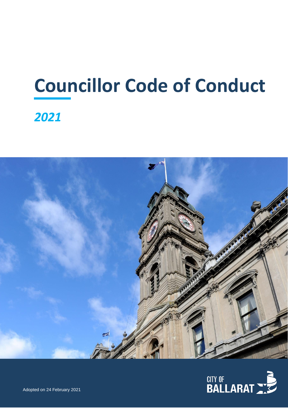# **Councillor Code of Conduct**  *2021*



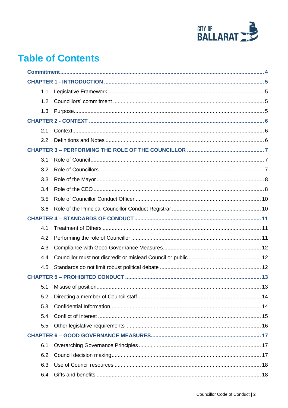

## **Table of Contents**

| 1.1 |  |  |
|-----|--|--|
| 1.2 |  |  |
| 1.3 |  |  |
|     |  |  |
| 2.1 |  |  |
| 2.2 |  |  |
|     |  |  |
| 3.1 |  |  |
| 3.2 |  |  |
| 3.3 |  |  |
| 3.4 |  |  |
| 3.5 |  |  |
| 3.6 |  |  |
|     |  |  |
| 4.1 |  |  |
| 4.2 |  |  |
| 4.3 |  |  |
| 4.4 |  |  |
| 4.5 |  |  |
|     |  |  |
| 5.1 |  |  |
| 5.2 |  |  |
| 5.3 |  |  |
| 5.4 |  |  |
| 5.5 |  |  |
|     |  |  |
| 6.1 |  |  |
| 6.2 |  |  |
| 6.3 |  |  |
| 6.4 |  |  |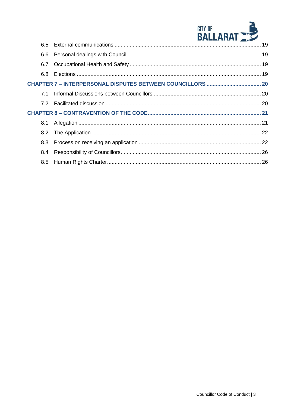

|  | 6.6 |  |  |
|--|-----|--|--|
|  | 6.7 |  |  |
|  | 6.8 |  |  |
|  |     |  |  |
|  | 7.1 |  |  |
|  | 7.2 |  |  |
|  |     |  |  |
|  | 8.1 |  |  |
|  |     |  |  |
|  | 8.3 |  |  |
|  | 8.4 |  |  |
|  | 8.5 |  |  |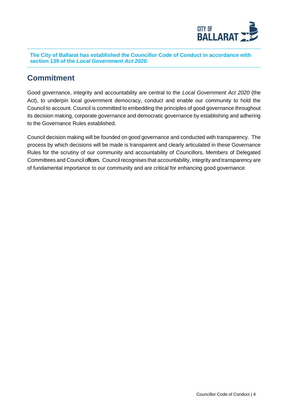

**The City of Ballarat has established the Councillor Code of Conduct in accordance with section 139 of the** *Local Government Act 2020.*

### <span id="page-3-0"></span>**Commitment**

Good governance, integrity and accountability are central to the *Local Government Act 2020* (the Act), to underpin local government democracy, conduct and enable our community to hold the Council to account. Council is committed to embedding the principles of good governance throughout its decision making, corporate governance and democratic governance by establishing and adhering to the Governance Rules established.

Council decision making will be founded on good governance and conducted with transparency. The process by which decisions will be made is transparent and clearly articulated in these Governance Rules for the scrutiny of our community and accountability of Councillors, Members of Delegated Committees and Council officers. Council recognises that accountability, integrity and transparency are of fundamental importance to our community and are critical for enhancing good governance.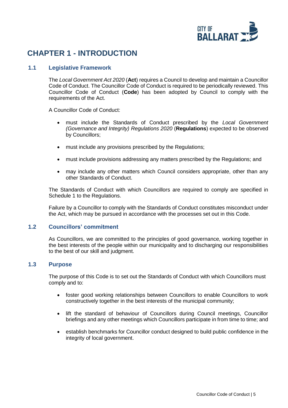

## <span id="page-4-0"></span>**CHAPTER 1 - INTRODUCTION**

#### <span id="page-4-1"></span>**1.1 Legislative Framework**

The *Local Government Act 2020* (**Act**) requires a Council to develop and maintain a Councillor Code of Conduct. The Councillor Code of Conduct is required to be periodically reviewed. This Councillor Code of Conduct (**Code**) has been adopted by Council to comply with the requirements of the Act.

A Councillor Code of Conduct:

- must include the Standards of Conduct prescribed by the *Local Government (Governance and Integrity) Regulations 2020* (**Regulations**) expected to be observed by Councillors;
- must include any provisions prescribed by the Regulations;
- must include provisions addressing any matters prescribed by the Regulations; and
- may include any other matters which Council considers appropriate, other than any other Standards of Conduct.

The Standards of Conduct with which Councillors are required to comply are specified in Schedule 1 to the Regulations.

Failure by a Councillor to comply with the Standards of Conduct constitutes misconduct under the Act, which may be pursued in accordance with the processes set out in this Code.

#### <span id="page-4-2"></span>**1.2 Councillors' commitment**

As Councillors, we are committed to the principles of good governance, working together in the best interests of the people within our municipality and to discharging our responsibilities to the best of our skill and judgment.

#### <span id="page-4-3"></span>**1.3 Purpose**

The purpose of this Code is to set out the Standards of Conduct with which Councillors must comply and to:

- foster good working relationships between Councillors to enable Councillors to work constructively together in the best interests of the municipal community;
- lift the standard of behaviour of Councillors during Council meetings, Councillor briefings and any other meetings which Councillors participate in from time to time; and
- establish benchmarks for Councillor conduct designed to build public confidence in the integrity of local government.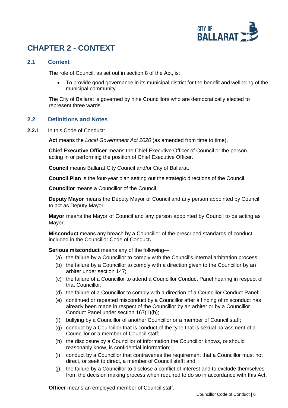

## <span id="page-5-0"></span>**CHAPTER 2 - CONTEXT**

#### <span id="page-5-1"></span>**2.1 Context**

The role of Council, as set out in section 8 of the Act, is:

• To provide good governance in its municipal district for the benefit and wellbeing of the municipal community.

The City of Ballarat is governed by nine Councillors who are democratically elected to represent three wards.

#### <span id="page-5-2"></span>**2.2 Definitions and Notes**

**2.2.1** In this Code of Conduct:

Act means the *Local Government Act 2020* (as amended from time to time).

**Chief Executive Officer** means the Chief Executive Officer of Council or the person acting in or performing the position of Chief Executive Officer.

**Council** means Ballarat City Council and/or City of Ballarat.

**Council Plan** is the four-year plan setting out the strategic directions of the Council.

**Councillor** means a Councillor of the Council.

**Deputy Mayor** means the Deputy Mayor of Council and any person appointed by Council to act as Deputy Mayor.

**Mayor** means the Mayor of Council and any person appointed by Council to be acting as Mayor.

**Misconduct** means any breach by a Councillor of the prescribed standards of conduct included in the Councillor Code of Conduct**.**

**Serious misconduct** means any of the following—

- (a) the failure by a [Councillor](http://classic.austlii.edu.au/au/legis/vic/consol_act/lga2020182/s3.html#councillor) to comply with the [Council's](http://classic.austlii.edu.au/au/legis/vic/consol_act/lga2020182/s3.html#council) [internal](http://classic.austlii.edu.au/au/legis/vic/consol_act/lga2020182/s3.html#internal_arbitration_process) [arbitration process;](http://classic.austlii.edu.au/au/legis/vic/consol_act/lga2020182/s3.html#internal_arbitration_process)
- (b) the failure by a [Councillor](http://classic.austlii.edu.au/au/legis/vic/consol_act/lga2020182/s3.html#councillor) to comply with a direction given to the [Councillor](http://classic.austlii.edu.au/au/legis/vic/consol_act/lga2020182/s3.html#councillor) by an arbiter under section 147;
- (c) the failure of a [Councillor](http://classic.austlii.edu.au/au/legis/vic/consol_act/lga2020182/s3.html#councillor) to attend a [Councillor Conduct Panel](http://classic.austlii.edu.au/au/legis/vic/consol_act/lga2020182/s3.html#councillor_conduct_panel) hearing in respect of that [Councillor;](http://classic.austlii.edu.au/au/legis/vic/consol_act/lga2020182/s3.html#councillor)
- (d) the failure of a [Councillor](http://classic.austlii.edu.au/au/legis/vic/consol_act/lga2020182/s3.html#councillor) to comply with a direction of a [Councillor](http://classic.austlii.edu.au/au/legis/vic/consol_act/lga2020182/s3.html#councillor_conduct_panel) [Conduct Panel;](http://classic.austlii.edu.au/au/legis/vic/consol_act/lga2020182/s3.html#councillor_conduct_panel)
- (e) continued or repeated [misconduct](http://classic.austlii.edu.au/au/legis/vic/consol_act/lga2020182/s3.html#misconduct) by a Councillor after a finding of [misconduct](http://classic.austlii.edu.au/au/legis/vic/consol_act/lga2020182/s3.html#misconduct) has already been made in respect of the [Councillor](http://classic.austlii.edu.au/au/legis/vic/consol_act/lga2020182/s3.html#councillor) by an arbiter or by a [Councillor](http://classic.austlii.edu.au/au/legis/vic/consol_act/lga2020182/s3.html#councillor_conduct_panel)  [Conduct Panel](http://classic.austlii.edu.au/au/legis/vic/consol_act/lga2020182/s3.html#councillor_conduct_panel) under section 167(1)(b);
- (f) [bullying](http://classic.austlii.edu.au/au/legis/vic/consol_act/lga2020182/s3.html#bullying) by a [Councillor](http://classic.austlii.edu.au/au/legis/vic/consol_act/lga2020182/s3.html#councillor) of another [Councillor](http://classic.austlii.edu.au/au/legis/vic/consol_act/lga2020182/s3.html#councillor) or a [member of Council](http://classic.austlii.edu.au/au/legis/vic/consol_act/lga2020182/s3.html#member_of_council_staff) [staff;](http://classic.austlii.edu.au/au/legis/vic/consol_act/lga2020182/s3.html#member_of_council_staff)
- (g) conduct by a [Councillor](http://classic.austlii.edu.au/au/legis/vic/consol_act/lga2020182/s3.html#councillor) that is conduct of the type that is sexual harassment of a [Councillor](http://classic.austlii.edu.au/au/legis/vic/consol_act/lga2020182/s3.html#councillor) or a [member of Council staff;](http://classic.austlii.edu.au/au/legis/vic/consol_act/lga2020182/s3.html#member_of_council_staff)
- (h) the disclosure by a [Councillor](http://classic.austlii.edu.au/au/legis/vic/consol_act/lga2020182/s3.html#councillor) of [information](http://classic.austlii.edu.au/au/legis/vic/consol_act/lga2020182/s57.html#information) the [Councillor](http://classic.austlii.edu.au/au/legis/vic/consol_act/lga2020182/s3.html#councillor) knows, or should reasonably know, is [confidential information;](http://classic.austlii.edu.au/au/legis/vic/consol_act/lga2020182/s3.html#confidential_information)
- (i) conduct by a [Councillor](http://classic.austlii.edu.au/au/legis/vic/consol_act/lga2020182/s3.html#councillor) that contravenes the requirement that a [Councillor](http://classic.austlii.edu.au/au/legis/vic/consol_act/lga2020182/s3.html#councillor) must not direct, or seek to direct, a [member of Council](http://classic.austlii.edu.au/au/legis/vic/consol_act/lga2020182/s3.html#member_of_council_staff) [staff;](http://classic.austlii.edu.au/au/legis/vic/consol_act/lga2020182/s3.html#member_of_council_staff) and
- (j) the failure by a [Councillor](http://classic.austlii.edu.au/au/legis/vic/consol_act/lga2020182/s3.html#councillor) to disclose a [conflict of](http://classic.austlii.edu.au/au/legis/vic/consol_act/lga2020182/s126.html#conflict_of_interest) interest and to exclude themselves from the decision making process when required to do so in accordance with this Act.

**Officer** means an employed member of Council staff.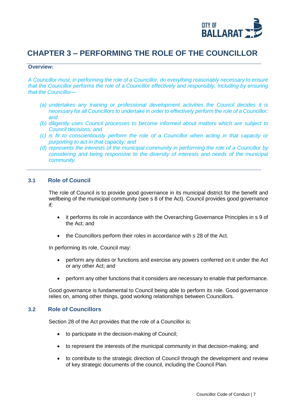

## <span id="page-6-0"></span>**CHAPTER 3 – PERFORMING THE ROLE OF THE COUNCILLOR**

#### **Overview:**

*A Councillor must, in performing the role of a Councillor, do everything reasonably necessary to ensure that the Councillor performs the role of a Councillor effectively and responsibly, including by ensuring that the Councillor—*

- *(a) undertakes any training or professional development activities the Council decides it is necessary for all Councillors to undertake in order to effectively perform the role of a Councillor; and*
- *(b) diligently uses Council processes to become informed about matters which are subject to Council decisions; and*
- *(c) is fit to conscientiously perform the role of a Councillor when acting in that capacity or purporting to act in that capacity; and*
- *(d) represents the interests of the municipal community in performing the role of a Councillor by considering and being responsive to the diversity of interests and needs of the municipal community.*

#### <span id="page-6-1"></span>**3.1 Role of Council**

The role of Council is to provide good governance in its municipal district for the benefit and wellbeing of the municipal community (see s 8 of the Act). Council provides good governance if:

- it performs its role in accordance with the Overarching Governance Principles in s 9 of the Act; and
- the Councillors perform their roles in accordance with s 28 of the Act.

In performing its role, Council may:

- perform any duties or functions and exercise any powers conferred on it under the Act or any other Act; and
- perform any other functions that it considers are necessary to enable that performance.

Good governance is fundamental to Council being able to perform its role. Good governance relies on, among other things, good working relationships between Councillors.

#### <span id="page-6-2"></span>**3.2 Role of Councillors**

Section 28 of the Act provides that the role of a Councillor is:

- to participate in the decision-making of Council;
- to represent the interests of the municipal community in that decision-making; and
- to contribute to the strategic direction of Council through the development and review of key strategic documents of the council, including the Council Plan.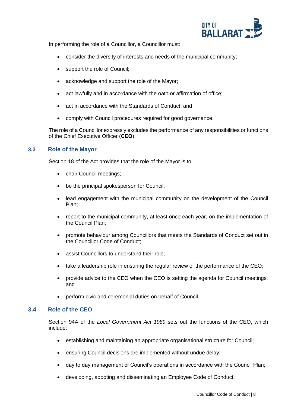

In performing the role of a Councillor, a Councillor must:

- consider the diversity of interests and needs of the municipal community;
- support the role of Council;
- acknowledge and support the role of the Mayor;
- act lawfully and in accordance with the oath or affirmation of office;
- act in accordance with the Standards of Conduct; and
- comply with Council procedures required for good governance.

The role of a Councillor expressly excludes the performance of any responsibilities or functions of the Chief Executive Officer (**CEO**).

#### <span id="page-7-0"></span>**3.3 Role of the Mayor**

Section 18 of the Act provides that the role of the Mayor is to:

- chair Council meetings;
- be the principal spokesperson for Council;
- lead engagement with the municipal community on the development of the Council Plan;
- report to the municipal community, at least once each year, on the implementation of the Council Plan;
- promote behaviour among Councillors that meets the Standards of Conduct set out in the Councillor Code of Conduct;
- assist Councillors to understand their role:
- take a leadership role in ensuring the regular review of the performance of the CEO;
- provide advice to the CEO when the CEO is setting the agenda for Council meetings; and
- perform civic and ceremonial duties on behalf of Council.

#### <span id="page-7-1"></span>**3.4 Role of the CEO**

Section 94A of the *Local Government Act 1989* sets out the functions of the CEO, which include:

- establishing and maintaining an appropriate organisational structure for Council;
- ensuring Council decisions are implemented without undue delay;
- day to day management of Council's operations in accordance with the Council Plan;
- developing, adopting and disseminating an Employee Code of Conduct;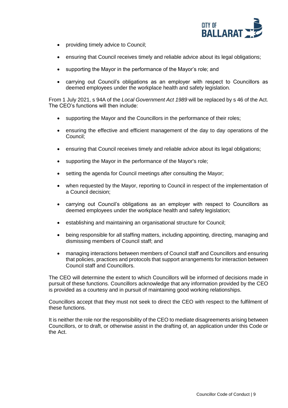

- providing timely advice to Council;
- ensuring that Council receives timely and reliable advice about its legal obligations;
- supporting the Mayor in the performance of the Mayor's role; and
- carrying out Council's obligations as an employer with respect to Councillors as deemed employees under the workplace health and safety legislation.

From 1 July 2021, s 94A of the *Local Government Act 1989* will be replaced by s 46 of the Act. The CEO's functions will then include:

- supporting the Mayor and the Councillors in the performance of their roles;
- ensuring the effective and efficient management of the day to day operations of the Council;
- ensuring that Council receives timely and reliable advice about its legal obligations;
- supporting the Mayor in the performance of the Mayor's role;
- setting the agenda for Council meetings after consulting the Mayor;
- when requested by the Mayor, reporting to Council in respect of the implementation of a Council decision;
- carrying out Council's obligations as an employer with respect to Councillors as deemed employees under the workplace health and safety legislation;
- establishing and maintaining an organisational structure for Council;
- being responsible for all staffing matters, including appointing, directing, managing and dismissing members of Council staff; and
- managing interactions between members of Council staff and Councillors and ensuring that policies, practices and protocols that support arrangements for interaction between Council staff and Councillors.

The CEO will determine the extent to which Councillors will be informed of decisions made in pursuit of these functions. Councillors acknowledge that any information provided by the CEO is provided as a courtesy and in pursuit of maintaining good working relationships.

Councillors accept that they must not seek to direct the CEO with respect to the fulfilment of these functions.

It is neither the role nor the responsibility of the CEO to mediate disagreements arising between Councillors, or to draft, or otherwise assist in the drafting of, an application under this Code or the Act.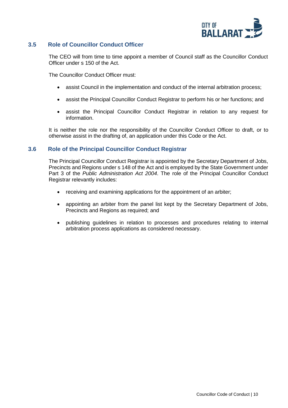

#### <span id="page-9-0"></span>**3.5 Role of Councillor Conduct Officer**

The CEO will from time to time appoint a member of Council staff as the Councillor Conduct Officer under s 150 of the Act.

The Councillor Conduct Officer must:

- assist Council in the implementation and conduct of the internal arbitration process;
- assist the Principal Councillor Conduct Registrar to perform his or her functions; and
- assist the Principal Councillor Conduct Registrar in relation to any request for information.

It is neither the role nor the responsibility of the Councillor Conduct Officer to draft, or to otherwise assist in the drafting of, an application under this Code or the Act.

#### <span id="page-9-1"></span>**3.6 Role of the Principal Councillor Conduct Registrar**

The Principal Councillor Conduct Registrar is appointed by the Secretary Department of Jobs, Precincts and Regions under s 148 of the Act and is employed by the State Government under Part 3 of the *Public Administration Act 2004*. The role of the Principal Councillor Conduct Registrar relevantly includes:

- receiving and examining applications for the appointment of an arbiter;
- appointing an arbiter from the panel list kept by the Secretary Department of Jobs, Precincts and Regions as required; and
- publishing guidelines in relation to processes and procedures relating to internal arbitration process applications as considered necessary.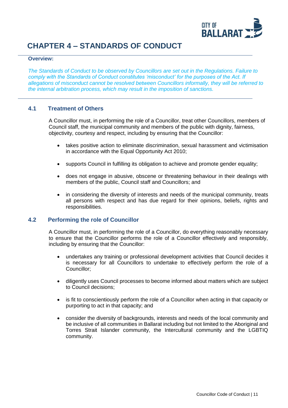

## <span id="page-10-0"></span>**CHAPTER 4 – STANDARDS OF CONDUCT**

#### **Overview:**

*The Standards of Conduct to be observed by Councillors are set out in the Regulations. Failure to comply with the Standards of Conduct constitutes 'misconduct' for the purposes of the Act. If allegations of misconduct cannot be resolved between Councillors informally, they will be referred to the internal arbitration process, which may result in the imposition of sanctions.*

#### <span id="page-10-1"></span>**4.1 Treatment of Others**

A Councillor must, in performing the role of a Councillor, treat other Councillors, members of Council staff, the municipal community and members of the public with dignity, fairness, objectivity, courtesy and respect, including by ensuring that the Councillor:

- takes positive action to eliminate discrimination, sexual harassment and victimisation in accordance with the Equal Opportunity Act 2010;
- supports Council in fulfilling its obligation to achieve and promote gender equality;
- does not engage in abusive, obscene or threatening behaviour in their dealings with members of the public, Council staff and Councillors; and
- in considering the diversity of interests and needs of the municipal community, treats all persons with respect and has due regard for their opinions, beliefs, rights and responsibilities.

#### <span id="page-10-2"></span>**4.2 Performing the role of Councillor**

A Councillor must, in performing the role of a Councillor, do everything reasonably necessary to ensure that the Councillor performs the role of a Councillor effectively and responsibly, including by ensuring that the Councillor:

- undertakes any training or professional development activities that Council decides it is necessary for all Councillors to undertake to effectively perform the role of a Councillor;
- diligently uses Council processes to become informed about matters which are subject to Council decisions;
- is fit to conscientiously perform the role of a Councillor when acting in that capacity or purporting to act in that capacity; and
- consider the diversity of backgrounds, interests and needs of the local community and be inclusive of all communities in Ballarat including but not limited to the Aboriginal and Torres Strait Islander community, the Intercultural community and the LGBTIQ community.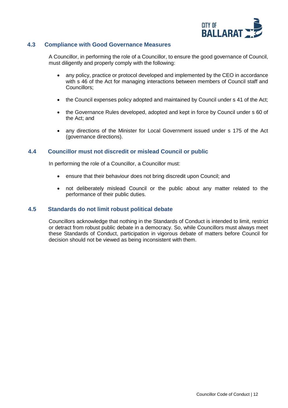

#### <span id="page-11-0"></span>**4.3 Compliance with Good Governance Measures**

A Councillor, in performing the role of a Councillor, to ensure the good governance of Council, must diligently and properly comply with the following:

- any policy, practice or protocol developed and implemented by the CEO in accordance with s 46 of the Act for managing interactions between members of Council staff and Councillors;
- the Council expenses policy adopted and maintained by Council under s 41 of the Act;
- the Governance Rules developed, adopted and kept in force by Council under s 60 of the Act; and
- any directions of the Minister for Local Government issued under s 175 of the Act (governance directions).

#### <span id="page-11-1"></span>**4.4 Councillor must not discredit or mislead Council or public**

In performing the role of a Councillor, a Councillor must:

- ensure that their behaviour does not bring discredit upon Council; and
- not deliberately mislead Council or the public about any matter related to the performance of their public duties.

#### <span id="page-11-2"></span>**4.5 Standards do not limit robust political debate**

Councillors acknowledge that nothing in the Standards of Conduct is intended to limit, restrict or detract from robust public debate in a democracy. So, while Councillors must always meet these Standards of Conduct, participation in vigorous debate of matters before Council for decision should not be viewed as being inconsistent with them.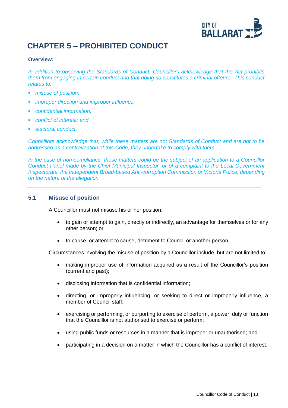

## <span id="page-12-0"></span>**CHAPTER 5 – PROHIBITED CONDUCT**

#### **Overview:**

*In addition to observing the Standards of Conduct, Councillors acknowledge that the Act prohibits them from engaging in certain conduct and that doing so constitutes a criminal offence. This conduct relates to:*

- *misuse of position;*
- *improper direction and improper influence;*
- *confidential information;*
- *conflict of interest; and*
- *electoral conduct.*

*Councillors acknowledge that, while these matters are not Standards of Conduct and are not to be addressed as a contravention of this Code, they undertake to comply with them.*

*In the case of non-compliance, these matters could be the subject of an application to a Councillor Conduct Panel made by the Chief Municipal Inspector, or of a complaint to the Local Government Inspectorate, the Independent Broad-based Anti-corruption Commission or Victoria Police, depending on the nature of the allegation.*

#### <span id="page-12-1"></span>**5.1 Misuse of position**

A Councillor must not misuse his or her position:

- to gain or attempt to gain, directly or indirectly, an advantage for themselves or for any other person; or
- to cause, or attempt to cause, detriment to Council or another person.

Circumstances involving the misuse of position by a Councillor include, but are not limited to:

- making improper use of information acquired as a result of the Councillor's position (current and past);
- disclosing information that is confidential information;
- directing, or improperly influencing, or seeking to direct or improperly influence, a member of Council staff;
- exercising or performing, or purporting to exercise of perform, a power, duty or function that the Councillor is not authorised to exercise or perform;
- using public funds or resources in a manner that is improper or unauthorised; and
- participating in a decision on a matter in which the Councillor has a conflict of interest.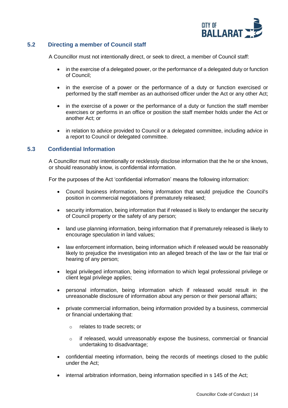

#### <span id="page-13-0"></span>**5.2 Directing a member of Council staff**

A Councillor must not intentionally direct, or seek to direct, a member of Council staff:

- in the exercise of a delegated power, or the performance of a delegated duty or function of Council;
- in the exercise of a power or the performance of a duty or function exercised or performed by the staff member as an authorised officer under the Act or any other Act;
- in the exercise of a power or the performance of a duty or function the staff member exercises or performs in an office or position the staff member holds under the Act or another Act; or
- in relation to advice provided to Council or a delegated committee, including advice in a report to Council or delegated committee.

#### <span id="page-13-1"></span>**5.3 Confidential Information**

A Councillor must not intentionally or recklessly disclose information that the he or she knows, or should reasonably know, is confidential information.

For the purposes of the Act 'confidential information' means the following information:

- Council business information, being information that would prejudice the Council's position in commercial negotiations if prematurely released;
- security information, being information that if released is likely to endanger the security of Council property or the safety of any person;
- land use planning information, being information that if prematurely released is likely to encourage speculation in land values;
- law enforcement information, being information which if released would be reasonably likely to prejudice the investigation into an alleged breach of the law or the fair trial or hearing of any person;
- legal privileged information, being information to which legal professional privilege or client legal privilege applies;
- personal information, being information which if released would result in the unreasonable disclosure of information about any person or their personal affairs;
- private commercial information, being information provided by a business, commercial or financial undertaking that:
	- o relates to trade secrets; or
	- $\circ$  if released, would unreasonably expose the business, commercial or financial undertaking to disadvantage;
- confidential meeting information, being the records of meetings closed to the public under the Act;
- internal arbitration information, being information specified in s 145 of the Act;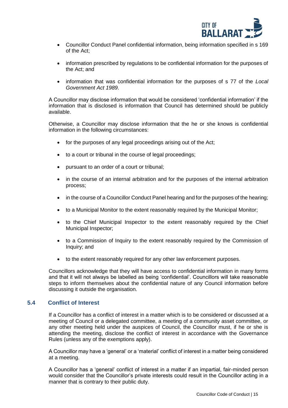

- Councillor Conduct Panel confidential information, being information specified in s 169 of the Act;
- information prescribed by regulations to be confidential information for the purposes of the Act; and
- information that was confidential information for the purposes of s 77 of the *Local Government Act 1989*.

A Councillor may disclose information that would be considered 'confidential information' if the information that is disclosed is information that Council has determined should be publicly available.

Otherwise, a Councillor may disclose information that the he or she knows is confidential information in the following circumstances:

- for the purposes of any legal proceedings arising out of the Act;
- to a court or tribunal in the course of legal proceedings;
- pursuant to an order of a court or tribunal;
- in the course of an internal arbitration and for the purposes of the internal arbitration process;
- in the course of a Councillor Conduct Panel hearing and for the purposes of the hearing;
- to a Municipal Monitor to the extent reasonably required by the Municipal Monitor;
- to the Chief Municipal Inspector to the extent reasonably required by the Chief Municipal Inspector;
- to a Commission of Inquiry to the extent reasonably required by the Commission of Inquiry; and
- to the extent reasonably required for any other law enforcement purposes.

Councillors acknowledge that they will have access to confidential information in many forms and that it will not always be labelled as being 'confidential'. Councillors will take reasonable steps to inform themselves about the confidential nature of any Council information before discussing it outside the organisation.

#### <span id="page-14-0"></span>**5.4 Conflict of Interest**

If a Councillor has a conflict of interest in a matter which is to be considered or discussed at a meeting of Council or a delegated committee, a meeting of a community asset committee, or any other meeting held under the auspices of Council, the Councillor must, if he or she is attending the meeting, disclose the conflict of interest in accordance with the Governance Rules (unless any of the exemptions apply).

A Councillor may have a 'general' or a 'material' conflict of interest in a matter being considered at a meeting.

A Councillor has a 'general' conflict of interest in a matter if an impartial, fair-minded person would consider that the Councillor's private interests could result in the Councillor acting in a manner that is contrary to their public duty.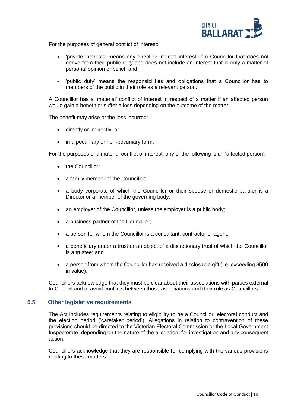

For the purposes of general conflict of interest:

- 'private interests' means any direct or indirect interest of a Councillor that does not derive from their public duty and does not include an interest that is only a matter of personal opinion or belief; and
- 'public duty' means the responsibilities and obligations that a Councillor has to members of the public in their role as a relevant person.

A Councillor has a 'material' conflict of interest in respect of a matter if an affected person would gain a benefit or suffer a loss depending on the outcome of the matter.

The benefit may arise or the loss incurred:

- directly or indirectly; or
- in a pecuniary or non-pecuniary form.

For the purposes of a material conflict of interest, any of the following is an 'affected person':

- the Councillor;
- a family member of the Councillor;
- a body corporate of which the Councillor or their spouse or domestic partner is a Director or a member of the governing body;
- an employer of the Councillor, unless the employer is a public body;
- a business partner of the Councillor;
- a person for whom the Councillor is a consultant, contractor or agent;
- a beneficiary under a trust or an object of a discretionary trust of which the Councillor is a trustee; and
- a person from whom the Councillor has received a disclosable gift (i.e. exceeding \$500 in value).

Councillors acknowledge that they must be clear about their associations with parties external to Council and to avoid conflicts between those associations and their role as Councillors.

#### <span id="page-15-0"></span>**5.5 Other legislative requirements**

The Act includes requirements relating to eligibility to be a Councillor, electoral conduct and the election period ('caretaker period'). Allegations in relation to contravention of these provisions should be directed to the Victorian Electoral Commission or the Local Government Inspectorate, depending on the nature of the allegation, for investigation and any consequent action.

Councillors acknowledge that they are responsible for complying with the various provisions relating to these matters.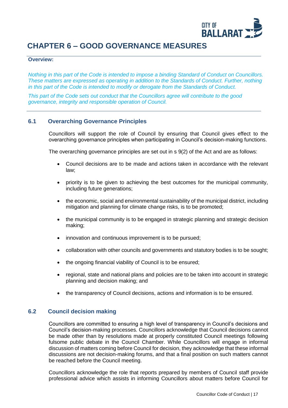

## <span id="page-16-0"></span>**CHAPTER 6 – GOOD GOVERNANCE MEASURES**

#### **Overview:**

*Nothing in this part of the Code is intended to impose a binding Standard of Conduct on Councillors. These matters are expressed as operating in addition to the Standards of Conduct. Further, nothing in this part of the Code is intended to modify or derogate from the Standards of Conduct.* 

*This part of the Code sets out conduct that the Councillors agree will contribute to the good governance, integrity and responsible operation of Council.*

#### <span id="page-16-1"></span>**6.1 Overarching Governance Principles**

Councillors will support the role of Council by ensuring that Council gives effect to the overarching governance principles when participating in Council's decision-making functions.

The overarching governance principles are set out in s 9(2) of the Act and are as follows:

- Council decisions are to be made and actions taken in accordance with the relevant law;
- priority is to be given to achieving the best outcomes for the municipal community, including future generations;
- the economic, social and environmental sustainability of the municipal district, including mitigation and planning for climate change risks, is to be promoted;
- the municipal community is to be engaged in strategic planning and strategic decision making;
- innovation and continuous improvement is to be pursued;
- collaboration with other councils and governments and statutory bodies is to be sought;
- the ongoing financial viability of Council is to be ensured;
- regional, state and national plans and policies are to be taken into account in strategic planning and decision making; and
- the transparency of Council decisions, actions and information is to be ensured.

#### <span id="page-16-2"></span>**6.2 Council decision making**

Councillors are committed to ensuring a high level of transparency in Council's decisions and Council's decision-making processes. Councillors acknowledge that Council decisions cannot be made other than by resolutions made at properly constituted Council meetings following fulsome public debate in the Council Chamber. While Councillors will engage in informal discussion of matters coming before Council for decision, they acknowledge that these informal discussions are not decision-making forums, and that a final position on such matters cannot be reached before the Council meeting.

Councillors acknowledge the role that reports prepared by members of Council staff provide professional advice which assists in informing Councillors about matters before Council for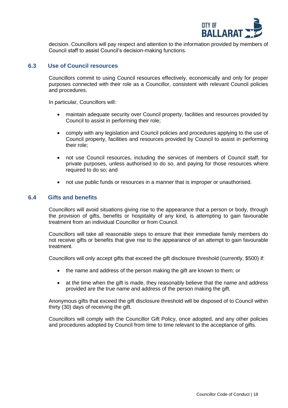

decision. Councillors will pay respect and attention to the information provided by members of Council staff to assist Council's decision-making functions.

#### <span id="page-17-0"></span>**6.3 Use of Council resources**

Councillors commit to using Council resources effectively, economically and only for proper purposes connected with their role as a Councillor, consistent with relevant Council policies and procedures.

In particular, Councillors will:

- maintain adequate security over Council property, facilities and resources provided by Council to assist in performing their role;
- comply with any legislation and Council policies and procedures applying to the use of Council property, facilities and resources provided by Council to assist in performing their role;
- not use Council resources, including the services of members of Council staff, for private purposes, unless authorised to do so, and paying for those resources where required to do so; and
- not use public funds or resources in a manner that is improper or unauthorised.

#### <span id="page-17-1"></span>**6.4 Gifts and benefits**

Councillors will avoid situations giving rise to the appearance that a person or body, through the provision of gifts, benefits or hospitality of any kind, is attempting to gain favourable treatment from an individual Councillor or from Council.

Councillors will take all reasonable steps to ensure that their immediate family members do not receive gifts or benefits that give rise to the appearance of an attempt to gain favourable treatment.

Councillors will only accept gifts that exceed the gift disclosure threshold (currently, \$500) if:

- the name and address of the person making the gift are known to them; or
- at the time when the gift is made, they reasonably believe that the name and address provided are the true name and address of the person making the gift.

Anonymous gifts that exceed the gift disclosure threshold will be disposed of to Council within thirty (30) days of receiving the gift.

Councillors will comply with the Councillor Gift Policy, once adopted, and any other policies and procedures adopted by Council from time to time relevant to the acceptance of gifts.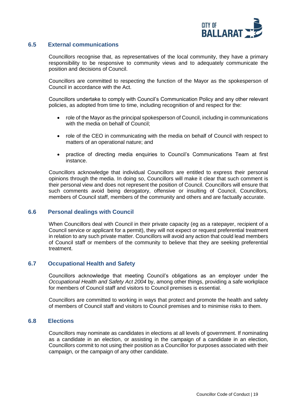

#### <span id="page-18-0"></span>**6.5 External communications**

Councillors recognise that, as representatives of the local community, they have a primary responsibility to be responsive to community views and to adequately communicate the position and decisions of Council.

Councillors are committed to respecting the function of the Mayor as the spokesperson of Council in accordance with the Act.

Councillors undertake to comply with Council's Communication Policy and any other relevant policies, as adopted from time to time, including recognition of and respect for the:

- role of the Mayor as the principal spokesperson of Council, including in communications with the media on behalf of Council;
- role of the CEO in communicating with the media on behalf of Council with respect to matters of an operational nature; and
- practice of directing media enquiries to Council's Communications Team at first instance.

Councillors acknowledge that individual Councillors are entitled to express their personal opinions through the media. In doing so, Councillors will make it clear that such comment is their personal view and does not represent the position of Council. Councillors will ensure that such comments avoid being derogatory, offensive or insulting of Council, Councillors, members of Council staff, members of the community and others and are factually accurate.

#### <span id="page-18-1"></span>**6.6 Personal dealings with Council**

When Councillors deal with Council in their private capacity (eg as a ratepayer, recipient of a Council service or applicant for a permit), they will not expect or request preferential treatment in relation to any such private matter. Councillors will avoid any action that could lead members of Council staff or members of the community to believe that they are seeking preferential treatment.

#### <span id="page-18-2"></span>**6.7 Occupational Health and Safety**

Councillors acknowledge that meeting Council's obligations as an employer under the *Occupational Health and Safety Act 2004* by, among other things, providing a safe workplace for members of Council staff and visitors to Council premises is essential.

Councillors are committed to working in ways that protect and promote the health and safety of members of Council staff and visitors to Council premises and to minimise risks to them.

#### <span id="page-18-3"></span>**6.8 Elections**

Councillors may nominate as candidates in elections at all levels of government. If nominating as a candidate in an election, or assisting in the campaign of a candidate in an election, Councillors commit to not using their position as a Councillor for purposes associated with their campaign, or the campaign of any other candidate.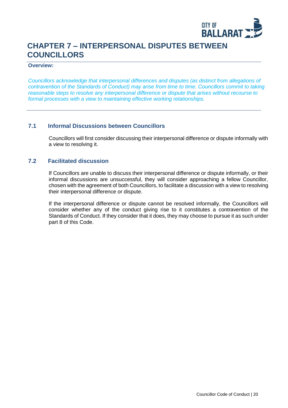

## <span id="page-19-0"></span>**CHAPTER 7 – INTERPERSONAL DISPUTES BETWEEN COUNCILLORS**

#### **Overview:**

*Councillors acknowledge that interpersonal differences and disputes (as distinct from allegations of contravention of the Standards of Conduct) may arise from time to time. Councillors commit to taking reasonable steps to resolve any interpersonal difference or dispute that arises without recourse to formal processes with a view to maintaining effective working relationships.*

#### <span id="page-19-1"></span>**7.1 Informal Discussions between Councillors**

Councillors will first consider discussing their interpersonal difference or dispute informally with a view to resolving it.

#### <span id="page-19-2"></span>**7.2 Facilitated discussion**

If Councillors are unable to discuss their interpersonal difference or dispute informally, or their informal discussions are unsuccessful, they will consider approaching a fellow Councillor, chosen with the agreement of both Councillors, to facilitate a discussion with a view to resolving their interpersonal difference or dispute.

If the interpersonal difference or dispute cannot be resolved informally, the Councillors will consider whether any of the conduct giving rise to it constitutes a contravention of the Standards of Conduct. If they consider that it does, they may choose to pursue it as such under part 8 of this Code.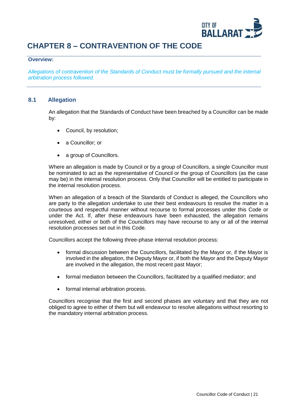

## <span id="page-20-0"></span>**CHAPTER 8 – CONTRAVENTION OF THE CODE**

#### **Overview:**

*Allegations of contravention of the Standards of Conduct must be formally pursued and the internal arbitration process followed.*

#### <span id="page-20-1"></span>**8.1 Allegation**

An allegation that the Standards of Conduct have been breached by a Councillor can be made by:

- Council, by resolution;
- a Councillor: or
- a group of Councillors.

Where an allegation is made by Council or by a group of Councillors, a single Councillor must be nominated to act as the representative of Council or the group of Councillors (as the case may be) in the internal resolution process. Only that Councillor will be entitled to participate in the internal resolution process.

When an allegation of a breach of the Standards of Conduct is alleged, the Councillors who are party to the allegation undertake to use their best endeavours to resolve the matter in a courteous and respectful manner without recourse to formal processes under this Code or under the Act. If, after these endeavours have been exhausted, the allegation remains unresolved, either or both of the Councillors may have recourse to any or all of the internal resolution processes set out in this Code.

Councillors accept the following three-phase internal resolution process:

- formal discussion between the Councillors, facilitated by the Mayor or, if the Mayor is involved in the allegation, the Deputy Mayor or, if both the Mayor and the Deputy Mayor are involved in the allegation, the most recent past Mayor;
- formal mediation between the Councillors, facilitated by a qualified mediator; and
- formal internal arbitration process.

Councillors recognise that the first and second phases are voluntary and that they are not obliged to agree to either of them but will endeavour to resolve allegations without resorting to the mandatory internal arbitration process.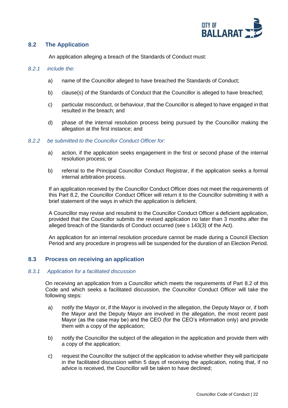

#### <span id="page-21-0"></span>**8.2 The Application**

An application alleging a breach of the Standards of Conduct must:

#### *8.2.1 include the:*

- a) name of the Councillor alleged to have breached the Standards of Conduct;
- b) clause(s) of the Standards of Conduct that the Councillor is alleged to have breached;
- c) particular misconduct, or behaviour, that the Councillor is alleged to have engaged in that resulted in the breach; and
- d) phase of the internal resolution process being pursued by the Councillor making the allegation at the first instance; and

#### *8.2.2 be submitted to the Councillor Conduct Officer for:*

- a) action, if the application seeks engagement in the first or second phase of the internal resolution process; or
- b) referral to the Principal Councillor Conduct Registrar, if the application seeks a formal internal arbitration process.

If an application received by the Councillor Conduct Officer does not meet the requirements of this Part 8.2, the Councillor Conduct Officer will return it to the Councillor submitting it with a brief statement of the ways in which the application is deficient.

A Councillor may revise and resubmit to the Councillor Conduct Officer a deficient application, provided that the Councillor submits the revised application no later than 3 months after the alleged breach of the Standards of Conduct occurred (see s 143(3) of the Act).

An application for an internal resolution procedure cannot be made during a Council Election Period and any procedure in progress will be suspended for the duration of an Election Period.

#### <span id="page-21-1"></span>**8.3 Process on receiving an application**

#### <span id="page-21-3"></span>*8.3.1 Application for a facilitated discussion*

On receiving an application from a Councillor which meets the requirements of Part 8.2 of this Code and which seeks a facilitated discussion, the Councillor Conduct Officer will take the following steps:

- a) notify the Mayor or, if the Mayor is involved in the allegation, the Deputy Mayor or, if both the Mayor and the Deputy Mayor are involved in the allegation, the most recent past Mayor (as the case may be) and the CEO (for the CEO's information only) and provide them with a copy of the application;
- b) notify the Councillor the subject of the allegation in the application and provide them with a copy of the application;
- <span id="page-21-2"></span>c) request the Councillor the subject of the application to advise whether they will participate in the facilitated discussion within 5 days of receiving the application, noting that, if no advice is received, the Councillor will be taken to have declined;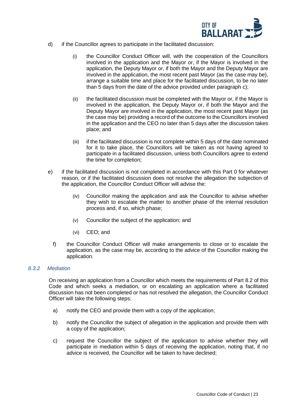

- d) if the Councillor agrees to participate in the facilitated discussion:
	- (i) the Councillor Conduct Officer will, with the cooperation of the Councillors involved in the application and the Mayor or, if the Mayor is involved in the application, the Deputy Mayor or, if both the Mayor and the Deputy Mayor are involved in the application, the most recent past Mayor (as the case may be), arrange a suitable time and place for the facilitated discussion, to be no later than 5 days from the date of the advice provided under paragraph [c\);](#page-21-2)
	- (ii) the facilitated discussion must be completed with the Mayor or, if the Mayor is involved in the application, the Deputy Mayor or, if both the Mayor and the Deputy Mayor are involved in the application, the most recent past Mayor (as the case may be) providing a record of the outcome to the Councillors involved in the application and the CEO no later than 5 days after the discussion takes place; and
	- (iii) if the facilitated discussion is not complete within 5 days of the date nominated for it to take place, the Councillors will be taken as not having agreed to participate in a facilitated discussion, unless both Councillors agree to extend the time for completion;
- e) if the facilitated discussion is not completed in accordance with this Part [0](#page-21-3) for whatever reason, or if the facilitated discussion does not resolve the allegation the subjection of the application, the Councillor Conduct Officer will advise the:
	- (iv) Councillor making the application and ask the Councillor to advise whether they wish to escalate the matter to another phase of the internal resolution process and, if so, which phase;
	- (v) Councillor the subject of the application; and
	- (vi) CEO; and
	- f) the Councillor Conduct Officer will make arrangements to close or to escalate the application, as the case may be, according to the advice of the Councillor making the application.

#### <span id="page-22-1"></span>*8.3.2 Mediation*

On receiving an application from a Councillor which meets the requirements of Part 8.2 of this Code and which seeks a mediation, or on escalating an application where a facilitated discussion has not been completed or has not resolved the allegation, the Councillor Conduct Officer will take the following steps:

- a) notify the CEO and provide them with a copy of the application;
- b) notify the Councillor the subject of allegation in the application and provide them with a copy of the application;
- <span id="page-22-0"></span>c) request the Councillor the subject of the application to advise whether they will participate in mediation within 5 days of receiving the application, noting that, if no advice is received, the Councillor will be taken to have declined;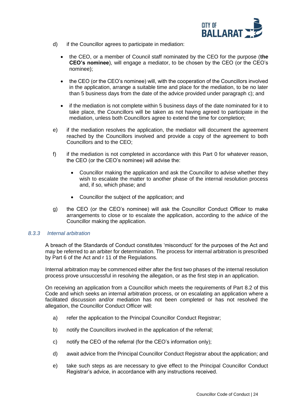

- d) if the Councillor agrees to participate in mediation:
	- the CEO, or a member of Council staff nominated by the CEO for the purpose (**the CEO's nominee**), will engage a mediator, to be chosen by the CEO (or the CEO's nominee);
	- the CEO (or the CEO's nominee) will, with the cooperation of the Councillors involved in the application, arrange a suitable time and place for the mediation, to be no later than 5 business days from the date of the advice provided under paragraph [c\);](#page-22-0) and
	- if the mediation is not complete within 5 business days of the date nominated for it to take place, the Councillors will be taken as not having agreed to participate in the mediation, unless both Councillors agree to extend the time for completion;
- e) if the mediation resolves the application, the mediator will document the agreement reached by the Councillors involved and provide a copy of the agreement to both Councillors and to the CEO;
- f) if the mediation is not completed in accordance with this Part [0](#page-22-1) for whatever reason, the CEO (or the CEO's nominee) will advise the:
	- Councillor making the application and ask the Councillor to advise whether they wish to escalate the matter to another phase of the internal resolution process and, if so, which phase; and
	- Councillor the subject of the application; and
- g) the CEO (or the CEO's nominee) will ask the Councillor Conduct Officer to make arrangements to close or to escalate the application, according to the advice of the Councillor making the application.

#### *8.3.3 Internal arbitration*

A breach of the Standards of Conduct constitutes 'misconduct' for the purposes of the Act and may be referred to an arbiter for determination. The process for internal arbitration is prescribed by Part 6 of the Act and r 11 of the Regulations.

Internal arbitration may be commenced either after the first two phases of the internal resolution process prove unsuccessful in resolving the allegation, or as the first step in an application.

On receiving an application from a Councillor which meets the requirements of Part 8.2 of this Code and which seeks an internal arbitration process, or on escalating an application where a facilitated discussion and/or mediation has not been completed or has not resolved the allegation, the Councillor Conduct Officer will:

- a) refer the application to the Principal Councillor Conduct Registrar;
- b) notify the Councillors involved in the application of the referral;
- c) notify the CEO of the referral (for the CEO's information only);
- d) await advice from the Principal Councillor Conduct Registrar about the application; and
- e) take such steps as are necessary to give effect to the Principal Councillor Conduct Registrar's advice, in accordance with any instructions received.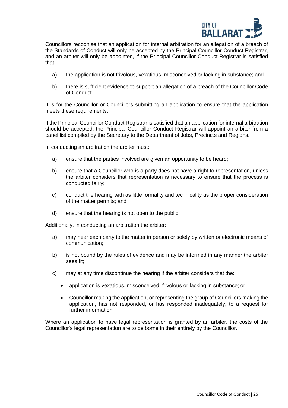

Councillors recognise that an application for internal arbitration for an allegation of a breach of the Standards of Conduct will only be accepted by the Principal Councillor Conduct Registrar, and an arbiter will only be appointed, if the Principal Councillor Conduct Registrar is satisfied that:

- a) the application is not frivolous, vexatious, misconceived or lacking in substance; and
- b) there is sufficient evidence to support an allegation of a breach of the Councillor Code of Conduct.

It is for the Councillor or Councillors submitting an application to ensure that the application meets these requirements.

If the Principal Councillor Conduct Registrar is satisfied that an application for internal arbitration should be accepted, the Principal Councillor Conduct Registrar will appoint an arbiter from a panel list compiled by the Secretary to the Department of Jobs, Precincts and Regions.

In conducting an arbitration the arbiter must:

- a) ensure that the parties involved are given an opportunity to be heard;
- b) ensure that a Councillor who is a party does not have a right to representation, unless the arbiter considers that representation is necessary to ensure that the process is conducted fairly;
- c) conduct the hearing with as little formality and technicality as the proper consideration of the matter permits; and
- d) ensure that the hearing is not open to the public.

Additionally, in conducting an arbitration the arbiter:

- a) may hear each party to the matter in person or solely by written or electronic means of communication;
- b) is not bound by the rules of evidence and may be informed in any manner the arbiter sees fit;
- c) may at any time discontinue the hearing if the arbiter considers that the:
	- application is vexatious, misconceived, frivolous or lacking in substance; or
	- Councillor making the application, or representing the group of Councillors making the application, has not responded, or has responded inadequately, to a request for further information.

Where an application to have legal representation is granted by an arbiter, the costs of the Councillor's legal representation are to be borne in their entirety by the Councillor.